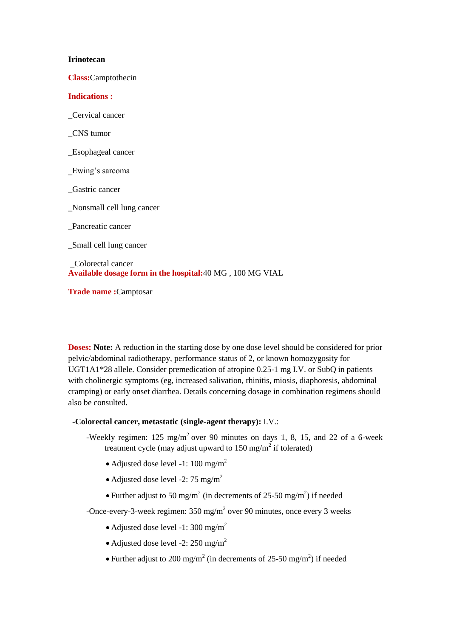### **Irinotecan**

**Class:**Camptothecin

# **Indications :**

\_Cervical cancer

\_CNS tumor

\_Esophageal cancer

\_Ewing's sarcoma

\_Gastric cancer

\_Nonsmall cell lung cancer

\_Pancreatic cancer

\_Small cell lung cancer

\_Colorectal cancer **Available dosage form in the hospital:**40 MG , 100 MG VIAL

**Trade name :**Camptosar

**Doses:** Note: A reduction in the starting dose by one dose level should be considered for prior pelvic/abdominal radiotherapy, performance status of 2, or known homozygosity for UGT1A1\*28 allele. Consider premedication of atropine 0.25-1 mg I.V. or SubQ in patients with cholinergic symptoms (eg, increased salivation, rhinitis, miosis, diaphoresis, abdominal cramping) or early onset diarrhea. Details concerning dosage in combination regimens should also be consulted.

# **-Colorectal cancer, metastatic (single-agent therapy):** I.V.:

-Weekly regimen:  $125 \text{ mg/m}^2$  over 90 minutes on days 1, 8, 15, and 22 of a 6-week treatment cycle (may adjust upward to  $150 \text{ mg/m}^2$  if tolerated)

- Adjusted dose level -1: 100 mg/m<sup>2</sup>
- Adjusted dose level -2: 75 mg/m<sup>2</sup>
- Further adjust to 50 mg/m<sup>2</sup> (in decrements of 25-50 mg/m<sup>2</sup>) if needed

-Once-every-3-week regimen:  $350 \text{ mg/m}^2$  over 90 minutes, once every 3 weeks

- Adjusted dose level -1: 300 mg/m<sup>2</sup>
- Adjusted dose level -2: 250 mg/m<sup>2</sup>
- Further adjust to 200 mg/m<sup>2</sup> (in decrements of 25-50 mg/m<sup>2</sup>) if needed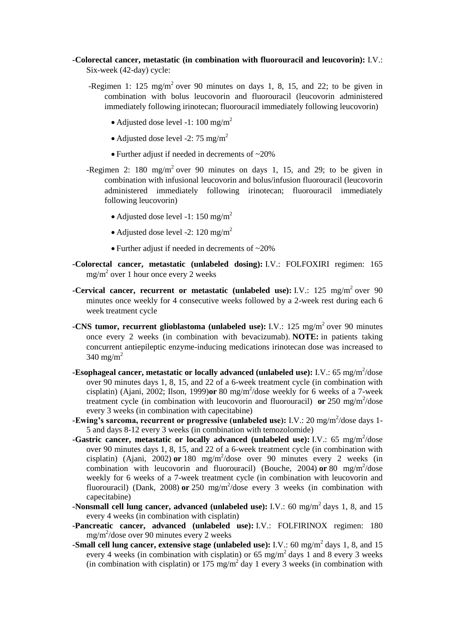# **-Colorectal cancer, metastatic (in combination with fluorouracil and leucovorin):** I.V.:

Six-week (42-day) cycle:

- -Regimen 1: 125 mg/m<sup>2</sup> over 90 minutes on days 1, 8, 15, and 22; to be given in combination with bolus leucovorin and fluorouracil (leucovorin administered immediately following irinotecan; fluorouracil immediately following leucovorin)
	- Adjusted dose level -1:  $100 \text{ mg/m}^2$
	- Adjusted dose level -2: 75 mg/m<sup>2</sup>
	- Further adjust if needed in decrements of ~20%
- -Regimen 2: 180 mg/m<sup>2</sup> over 90 minutes on days 1, 15, and 29; to be given in combination with infusional leucovorin and bolus/infusion fluorouracil (leucovorin administered immediately following irinotecan; fluorouracil immediately following leucovorin)
	- Adjusted dose level -1: 150 mg/m<sup>2</sup>
	- Adjusted dose level -2: 120 mg/m<sup>2</sup>
	- Further adjust if needed in decrements of ~20%
- **-Colorectal cancer, metastatic (unlabeled dosing):** I.V.: FOLFOXIRI regimen: 165  $mg/m^2$  over 1 hour once every 2 weeks
- **-Cervical cancer, recurrent or metastatic (unlabeled use):** I.V.: 125 mg/m<sup>2</sup> over 90 minutes once weekly for 4 consecutive weeks followed by a 2-week rest during each 6 week treatment cycle
- **-CNS tumor, recurrent glioblastoma (unlabeled use):** I.V.: 125 mg/m<sup>2</sup> over 90 minutes once every 2 weeks (in combination with bevacizumab). **NOTE:** in patients taking concurrent antiepileptic enzyme-inducing medications irinotecan dose was increased to  $340 \text{ mg/m}^2$
- **-Esophageal cancer, metastatic or locally advanced (unlabeled use):** I.V.: 65 mg/m<sup>2</sup>/dose over 90 minutes days 1, 8, 15, and 22 of a 6-week treatment cycle (in combination with cisplatin) (Ajani, 2002; Ilson, 1999) $or 80$  mg/m<sup>2</sup>/dose weekly for 6 weeks of a 7-week treatment cycle (in combination with leucovorin and fluorouracil) or  $250 \text{ mg/m}^2/\text{dose}$ every 3 weeks (in combination with capecitabine)
- -Ewing's sarcoma, recurrent or progressive (unlabeled use): I.V.: 20 mg/m<sup>2</sup>/dose days 1-5 and days 8-12 every 3 weeks (in combination with temozolomide)
- **-Gastric cancer, metastatic or locally advanced (unlabeled use):** I.V.: 65 mg/m<sup>2</sup>/dose over 90 minutes days 1, 8, 15, and 22 of a 6-week treatment cycle (in combination with cisplatin) (Ajani, 2002) or 180 mg/m<sup>2</sup>/dose over 90 minutes every 2 weeks (in combination with leucovorin and fluorouracil) (Bouche, 2004) or 80 mg/m<sup>2</sup>/dose weekly for 6 weeks of a 7-week treatment cycle (in combination with leucovorin and fluorouracil) (Dank, 2008) or 250 mg/m<sup>2</sup>/dose every 3 weeks (in combination with capecitabine)
- **-Nonsmall cell lung cancer, advanced (unlabeled use):** I.V.: 60 mg/m<sup>2</sup> days 1, 8, and 15 every 4 weeks (in combination with cisplatin)
- **-Pancreatic cancer, advanced (unlabeled use):** I.V.: FOLFIRINOX regimen: 180 mg/m<sup>2</sup> /dose over 90 minutes every 2 weeks
- **-Small cell lung cancer, extensive stage (unlabeled use):** I.V.: 60 mg/m<sup>2</sup> days 1, 8, and 15 every 4 weeks (in combination with cisplatin) or 65 mg/m<sup>2</sup> days 1 and 8 every 3 weeks (in combination with cisplatin) or 175  $mg/m^2$  day 1 every 3 weeks (in combination with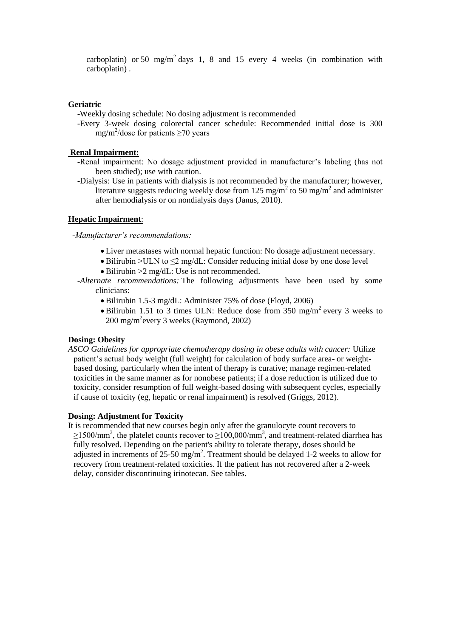carboplatin) or 50 mg/m<sup>2</sup> days 1, 8 and 15 every 4 weeks (in combination with carboplatin) .

# **Geriatric**

-Weekly dosing schedule: No dosing adjustment is recommended

-Every 3-week dosing colorectal cancer schedule: Recommended initial dose is 300 mg/m<sup>2</sup>/dose for patients  $\geq$ 70 years

### **Renal Impairment:**

- -Renal impairment: No dosage adjustment provided in manufacturer's labeling (has not been studied); use with caution.
- -Dialysis: Use in patients with dialysis is not recommended by the manufacturer; however, literature suggests reducing weekly dose from 125 mg/m<sup>2</sup> to 50 mg/m<sup>2</sup> and administer after hemodialysis or on nondialysis days (Janus, 2010).

### **Hepatic Impairment**:

#### *-Manufacturer's recommendations:*

- Liver metastases with normal hepatic function: No dosage adjustment necessary.
- $\bullet$  Bilirubin >ULN to  $\leq$  mg/dL: Consider reducing initial dose by one dose level
- Bilirubin >  $2 \text{ mg/dL}$ : Use is not recommended.
- *-Alternate recommendations:* The following adjustments have been used by some clinicians:
	- Bilirubin 1.5-3 mg/dL: Administer 75% of dose (Floyd, 2006)
	- Bilirubin 1.51 to 3 times ULN: Reduce dose from 350 mg/m<sup>2</sup> every 3 weeks to 200 mg/m<sup>2</sup>every 3 weeks (Raymond, 2002)

### **Dosing: Obesity**

*ASCO Guidelines for appropriate chemotherapy dosing in obese adults with cancer:* Utilize patient's actual body weight (full weight) for calculation of body surface area- or weightbased dosing, particularly when the intent of therapy is curative; manage regimen-related toxicities in the same manner as for nonobese patients; if a dose reduction is utilized due to toxicity, consider resumption of full weight-based dosing with subsequent cycles, especially if cause of toxicity (eg, hepatic or renal impairment) is resolved (Griggs, 2012).

#### **Dosing: Adjustment for Toxicity**

It is recommended that new courses begin only after the granulocyte count recovers to  $\geq$ 1500/mm<sup>3</sup>, the platelet counts recover to  $\geq$ 100,000/mm<sup>3</sup>, and treatment-related diarrhea has fully resolved. Depending on the patient's ability to tolerate therapy, doses should be adjusted in increments of 25-50 mg/m<sup>2</sup>. Treatment should be delayed 1-2 weeks to allow for recovery from treatment-related toxicities. If the patient has not recovered after a 2-week delay, consider discontinuing irinotecan. See tables.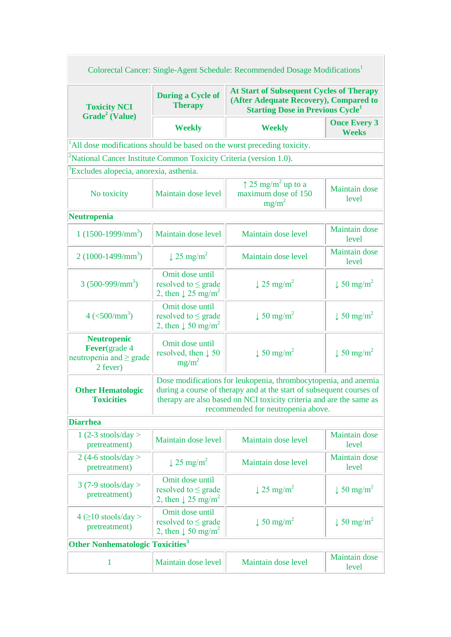| <b>At Start of Subsequent Cycles of Therapy</b><br><b>During a Cycle of</b><br>(After Adequate Recovery), Compared to<br><b>Therapy</b><br><b>Toxicity NCI</b><br><b>Starting Dose in Previous Cycle</b><br>Grade <sup>2</sup> (Value)<br><b>Once Every 3</b><br><b>Weekly</b><br><b>Weekly</b><br><b>Weeks</b><br>All dose modifications should be based on the worst preceding toxicity.<br><sup>2</sup> National Cancer Institute Common Toxicity Criteria (version 1.0).<br><sup>3</sup> Excludes alopecia, anorexia, asthenia.<br>$\uparrow$ 25 mg/m <sup>2</sup> up to a<br>Maintain dose<br>maximum dose of 150<br>Maintain dose level<br>No toxicity<br>level<br>$mg/m^2$<br><b>Maintain</b> dose<br>$1(1500-1999/mm^3)$<br>Maintain dose level<br>Maintain dose level<br>level<br><b>Maintain</b> dose<br>$2(1000-1499/mm^3)$<br>$\downarrow$ 25 mg/m <sup>2</sup><br>Maintain dose level<br>level<br>Omit dose until<br>$3(500-999/mm^3)$<br>$\downarrow$ 25 mg/m <sup>2</sup><br>$\downarrow$ 50 mg/m <sup>2</sup><br>resolved to $\leq$ grade<br>2, then $\downarrow$ 25 mg/m <sup>2</sup><br>Omit dose until<br>$\downarrow$ 50 mg/m <sup>2</sup><br>$4 \left( \frac{500}{mm^3} \right)$<br>$\downarrow$ 50 mg/m <sup>2</sup><br>resolved to $\leq$ grade<br>2, then $\downarrow$ 50 mg/m <sup>2</sup><br><b>Neutropenic</b><br>Omit dose until<br>Fever(grade 4<br>$\downarrow$ 50 mg/m <sup>2</sup><br>resolved, then $\downarrow$ 50<br>$\downarrow$ 50 mg/m <sup>2</sup><br>$mg/m^2$<br>2 fever)<br>Dose modifications for leukopenia, thrombocytopenia, and anemia<br>during a course of therapy and at the start of subsequent courses of<br><b>Other Hematologic</b><br>therapy are also based on NCI toxicity criteria and are the same as<br><b>Toxicities</b><br>recommended for neutropenia above.<br>Maintain dose<br>$1(2-3 stools/day >$<br>Maintain dose level<br>Maintain dose level<br>pretreatment)<br>level<br>$2(4-6 \text{ stools/day} >$<br><b>Maintain</b> dose<br>$\downarrow$ 25 mg/m <sup>2</sup><br>Maintain dose level<br>pretreatment)<br>level<br>Omit dose until<br>$3(7-9 \text{ stools/day} >$<br>$\downarrow$ 25 mg/m <sup>2</sup><br>$\downarrow$ 50 mg/m <sup>2</sup><br>resolved to $\leq$ grade<br>pretreatment)<br>2, then $\downarrow$ 25 mg/m <sup>2</sup><br>Omit dose until<br>$4 \geq 10$ stools/day ><br>$\downarrow$ 50 mg/m <sup>2</sup><br>$\downarrow$ 50 mg/m <sup>2</sup><br>resolved to $\leq$ grade<br>pretreatment)<br>2, then $\downarrow$ 50 mg/m <sup>2</sup><br><b>Maintain</b> dose<br>1<br>Maintain dose level<br>Maintain dose level<br>level | Colorectal Cancer: Single-Agent Schedule: Recommended Dosage Modifications <sup>1</sup> |  |  |  |  |  |  |
|-------------------------------------------------------------------------------------------------------------------------------------------------------------------------------------------------------------------------------------------------------------------------------------------------------------------------------------------------------------------------------------------------------------------------------------------------------------------------------------------------------------------------------------------------------------------------------------------------------------------------------------------------------------------------------------------------------------------------------------------------------------------------------------------------------------------------------------------------------------------------------------------------------------------------------------------------------------------------------------------------------------------------------------------------------------------------------------------------------------------------------------------------------------------------------------------------------------------------------------------------------------------------------------------------------------------------------------------------------------------------------------------------------------------------------------------------------------------------------------------------------------------------------------------------------------------------------------------------------------------------------------------------------------------------------------------------------------------------------------------------------------------------------------------------------------------------------------------------------------------------------------------------------------------------------------------------------------------------------------------------------------------------------------------------------------------------------------------------------------------------------------------------------------------------------------------------------------------------------------------------------------------------------------------------------------------------------------------------------------------------------------------------------------------------------------------------------------------------------------------------------------------------------------------------------------------------------------------------------------------------|-----------------------------------------------------------------------------------------|--|--|--|--|--|--|
|                                                                                                                                                                                                                                                                                                                                                                                                                                                                                                                                                                                                                                                                                                                                                                                                                                                                                                                                                                                                                                                                                                                                                                                                                                                                                                                                                                                                                                                                                                                                                                                                                                                                                                                                                                                                                                                                                                                                                                                                                                                                                                                                                                                                                                                                                                                                                                                                                                                                                                                                                                                                                         |                                                                                         |  |  |  |  |  |  |
|                                                                                                                                                                                                                                                                                                                                                                                                                                                                                                                                                                                                                                                                                                                                                                                                                                                                                                                                                                                                                                                                                                                                                                                                                                                                                                                                                                                                                                                                                                                                                                                                                                                                                                                                                                                                                                                                                                                                                                                                                                                                                                                                                                                                                                                                                                                                                                                                                                                                                                                                                                                                                         |                                                                                         |  |  |  |  |  |  |
|                                                                                                                                                                                                                                                                                                                                                                                                                                                                                                                                                                                                                                                                                                                                                                                                                                                                                                                                                                                                                                                                                                                                                                                                                                                                                                                                                                                                                                                                                                                                                                                                                                                                                                                                                                                                                                                                                                                                                                                                                                                                                                                                                                                                                                                                                                                                                                                                                                                                                                                                                                                                                         |                                                                                         |  |  |  |  |  |  |
|                                                                                                                                                                                                                                                                                                                                                                                                                                                                                                                                                                                                                                                                                                                                                                                                                                                                                                                                                                                                                                                                                                                                                                                                                                                                                                                                                                                                                                                                                                                                                                                                                                                                                                                                                                                                                                                                                                                                                                                                                                                                                                                                                                                                                                                                                                                                                                                                                                                                                                                                                                                                                         |                                                                                         |  |  |  |  |  |  |
|                                                                                                                                                                                                                                                                                                                                                                                                                                                                                                                                                                                                                                                                                                                                                                                                                                                                                                                                                                                                                                                                                                                                                                                                                                                                                                                                                                                                                                                                                                                                                                                                                                                                                                                                                                                                                                                                                                                                                                                                                                                                                                                                                                                                                                                                                                                                                                                                                                                                                                                                                                                                                         |                                                                                         |  |  |  |  |  |  |
|                                                                                                                                                                                                                                                                                                                                                                                                                                                                                                                                                                                                                                                                                                                                                                                                                                                                                                                                                                                                                                                                                                                                                                                                                                                                                                                                                                                                                                                                                                                                                                                                                                                                                                                                                                                                                                                                                                                                                                                                                                                                                                                                                                                                                                                                                                                                                                                                                                                                                                                                                                                                                         |                                                                                         |  |  |  |  |  |  |
|                                                                                                                                                                                                                                                                                                                                                                                                                                                                                                                                                                                                                                                                                                                                                                                                                                                                                                                                                                                                                                                                                                                                                                                                                                                                                                                                                                                                                                                                                                                                                                                                                                                                                                                                                                                                                                                                                                                                                                                                                                                                                                                                                                                                                                                                                                                                                                                                                                                                                                                                                                                                                         | Neutropenia                                                                             |  |  |  |  |  |  |
|                                                                                                                                                                                                                                                                                                                                                                                                                                                                                                                                                                                                                                                                                                                                                                                                                                                                                                                                                                                                                                                                                                                                                                                                                                                                                                                                                                                                                                                                                                                                                                                                                                                                                                                                                                                                                                                                                                                                                                                                                                                                                                                                                                                                                                                                                                                                                                                                                                                                                                                                                                                                                         |                                                                                         |  |  |  |  |  |  |
|                                                                                                                                                                                                                                                                                                                                                                                                                                                                                                                                                                                                                                                                                                                                                                                                                                                                                                                                                                                                                                                                                                                                                                                                                                                                                                                                                                                                                                                                                                                                                                                                                                                                                                                                                                                                                                                                                                                                                                                                                                                                                                                                                                                                                                                                                                                                                                                                                                                                                                                                                                                                                         |                                                                                         |  |  |  |  |  |  |
|                                                                                                                                                                                                                                                                                                                                                                                                                                                                                                                                                                                                                                                                                                                                                                                                                                                                                                                                                                                                                                                                                                                                                                                                                                                                                                                                                                                                                                                                                                                                                                                                                                                                                                                                                                                                                                                                                                                                                                                                                                                                                                                                                                                                                                                                                                                                                                                                                                                                                                                                                                                                                         |                                                                                         |  |  |  |  |  |  |
|                                                                                                                                                                                                                                                                                                                                                                                                                                                                                                                                                                                                                                                                                                                                                                                                                                                                                                                                                                                                                                                                                                                                                                                                                                                                                                                                                                                                                                                                                                                                                                                                                                                                                                                                                                                                                                                                                                                                                                                                                                                                                                                                                                                                                                                                                                                                                                                                                                                                                                                                                                                                                         |                                                                                         |  |  |  |  |  |  |
|                                                                                                                                                                                                                                                                                                                                                                                                                                                                                                                                                                                                                                                                                                                                                                                                                                                                                                                                                                                                                                                                                                                                                                                                                                                                                                                                                                                                                                                                                                                                                                                                                                                                                                                                                                                                                                                                                                                                                                                                                                                                                                                                                                                                                                                                                                                                                                                                                                                                                                                                                                                                                         | neutropenia and $\geq$ grade                                                            |  |  |  |  |  |  |
|                                                                                                                                                                                                                                                                                                                                                                                                                                                                                                                                                                                                                                                                                                                                                                                                                                                                                                                                                                                                                                                                                                                                                                                                                                                                                                                                                                                                                                                                                                                                                                                                                                                                                                                                                                                                                                                                                                                                                                                                                                                                                                                                                                                                                                                                                                                                                                                                                                                                                                                                                                                                                         |                                                                                         |  |  |  |  |  |  |
|                                                                                                                                                                                                                                                                                                                                                                                                                                                                                                                                                                                                                                                                                                                                                                                                                                                                                                                                                                                                                                                                                                                                                                                                                                                                                                                                                                                                                                                                                                                                                                                                                                                                                                                                                                                                                                                                                                                                                                                                                                                                                                                                                                                                                                                                                                                                                                                                                                                                                                                                                                                                                         | <b>Diarrhea</b>                                                                         |  |  |  |  |  |  |
|                                                                                                                                                                                                                                                                                                                                                                                                                                                                                                                                                                                                                                                                                                                                                                                                                                                                                                                                                                                                                                                                                                                                                                                                                                                                                                                                                                                                                                                                                                                                                                                                                                                                                                                                                                                                                                                                                                                                                                                                                                                                                                                                                                                                                                                                                                                                                                                                                                                                                                                                                                                                                         |                                                                                         |  |  |  |  |  |  |
|                                                                                                                                                                                                                                                                                                                                                                                                                                                                                                                                                                                                                                                                                                                                                                                                                                                                                                                                                                                                                                                                                                                                                                                                                                                                                                                                                                                                                                                                                                                                                                                                                                                                                                                                                                                                                                                                                                                                                                                                                                                                                                                                                                                                                                                                                                                                                                                                                                                                                                                                                                                                                         |                                                                                         |  |  |  |  |  |  |
|                                                                                                                                                                                                                                                                                                                                                                                                                                                                                                                                                                                                                                                                                                                                                                                                                                                                                                                                                                                                                                                                                                                                                                                                                                                                                                                                                                                                                                                                                                                                                                                                                                                                                                                                                                                                                                                                                                                                                                                                                                                                                                                                                                                                                                                                                                                                                                                                                                                                                                                                                                                                                         |                                                                                         |  |  |  |  |  |  |
|                                                                                                                                                                                                                                                                                                                                                                                                                                                                                                                                                                                                                                                                                                                                                                                                                                                                                                                                                                                                                                                                                                                                                                                                                                                                                                                                                                                                                                                                                                                                                                                                                                                                                                                                                                                                                                                                                                                                                                                                                                                                                                                                                                                                                                                                                                                                                                                                                                                                                                                                                                                                                         |                                                                                         |  |  |  |  |  |  |
|                                                                                                                                                                                                                                                                                                                                                                                                                                                                                                                                                                                                                                                                                                                                                                                                                                                                                                                                                                                                                                                                                                                                                                                                                                                                                                                                                                                                                                                                                                                                                                                                                                                                                                                                                                                                                                                                                                                                                                                                                                                                                                                                                                                                                                                                                                                                                                                                                                                                                                                                                                                                                         | Other Nonhematologic Toxicities <sup>3</sup>                                            |  |  |  |  |  |  |
|                                                                                                                                                                                                                                                                                                                                                                                                                                                                                                                                                                                                                                                                                                                                                                                                                                                                                                                                                                                                                                                                                                                                                                                                                                                                                                                                                                                                                                                                                                                                                                                                                                                                                                                                                                                                                                                                                                                                                                                                                                                                                                                                                                                                                                                                                                                                                                                                                                                                                                                                                                                                                         |                                                                                         |  |  |  |  |  |  |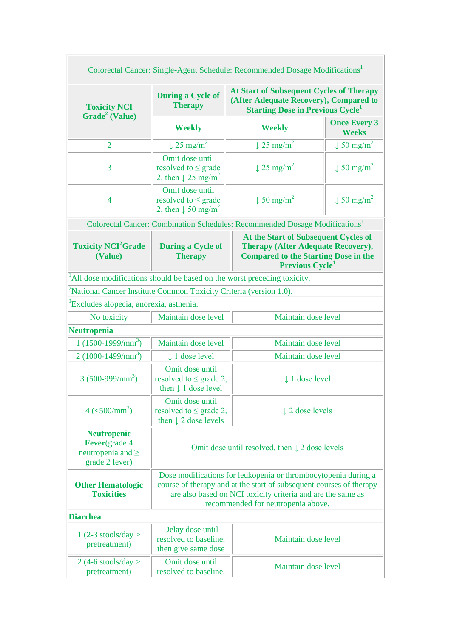| Colorectal Cancer: Single-Agent Schedule: Recommended Dosage Modifications <sup>1</sup> |                                                                                                                                                                                                                                            |                                                                                                                                                           |                                     |  |  |
|-----------------------------------------------------------------------------------------|--------------------------------------------------------------------------------------------------------------------------------------------------------------------------------------------------------------------------------------------|-----------------------------------------------------------------------------------------------------------------------------------------------------------|-------------------------------------|--|--|
| <b>Toxicity NCI</b><br>Grade <sup>2</sup> (Value)                                       | <b>During a Cycle of</b><br><b>Therapy</b>                                                                                                                                                                                                 | <b>At Start of Subsequent Cycles of Therapy</b><br>(After Adequate Recovery), Compared to<br><b>Starting Dose in Previous Cycle</b>                       |                                     |  |  |
|                                                                                         | <b>Weekly</b>                                                                                                                                                                                                                              | <b>Weekly</b>                                                                                                                                             | <b>Once Every 3</b><br><b>Weeks</b> |  |  |
| $\overline{2}$                                                                          | $\downarrow$ 25 mg/m <sup>2</sup>                                                                                                                                                                                                          | $\downarrow$ 25 mg/m <sup>2</sup>                                                                                                                         | $\downarrow$ 50 mg/m <sup>2</sup>   |  |  |
| 3                                                                                       | Omit dose until<br>resolved to $\leq$ grade<br>2, then $\downarrow$ 25 mg/m <sup>2</sup>                                                                                                                                                   | $\downarrow$ 25 mg/m <sup>2</sup>                                                                                                                         | $\downarrow$ 50 mg/m <sup>2</sup>   |  |  |
| 4                                                                                       | Omit dose until<br>resolved to $\leq$ grade<br>2, then $\downarrow$ 50 mg/m <sup>2</sup>                                                                                                                                                   | $\downarrow$ 50 mg/m <sup>2</sup>                                                                                                                         | $\downarrow$ 50 mg/m <sup>2</sup>   |  |  |
|                                                                                         |                                                                                                                                                                                                                                            | Colorectal Cancer: Combination Schedules: Recommended Dosage Modifications <sup>1</sup>                                                                   |                                     |  |  |
| <b>Toxicity NCI<sup>2</sup>Grade</b><br>(Value)                                         | <b>During a Cycle of</b><br><b>Therapy</b>                                                                                                                                                                                                 | At the Start of Subsequent Cycles of<br><b>Therapy (After Adequate Recovery),</b><br><b>Compared to the Starting Dose in the</b><br><b>Previous Cycle</b> |                                     |  |  |
|                                                                                         |                                                                                                                                                                                                                                            | All dose modifications should be based on the worst preceding toxicity.                                                                                   |                                     |  |  |
| National Cancer Institute Common Toxicity Criteria (version 1.0).                       |                                                                                                                                                                                                                                            |                                                                                                                                                           |                                     |  |  |
| Excludes alopecia, anorexia, asthenia.                                                  |                                                                                                                                                                                                                                            |                                                                                                                                                           |                                     |  |  |
| No toxicity                                                                             | Maintain dose level                                                                                                                                                                                                                        | Maintain dose level                                                                                                                                       |                                     |  |  |
| Neutropenia                                                                             |                                                                                                                                                                                                                                            |                                                                                                                                                           |                                     |  |  |
| $1(1500-1999/mm^3)$                                                                     | Maintain dose level                                                                                                                                                                                                                        | Maintain dose level                                                                                                                                       |                                     |  |  |
| $2(1000-1499/mm^3)$                                                                     | 1 dose level                                                                                                                                                                                                                               | Maintain dose level                                                                                                                                       |                                     |  |  |
| $3(500-999/mm^3)$                                                                       | Omit dose until<br>resolved to $\leq$ grade 2,<br>then $\downarrow$ 1 dose level                                                                                                                                                           | $\perp$ 1 dose level                                                                                                                                      |                                     |  |  |
| $4 \left( \frac{500}{mm^3} \right)$                                                     | Omit dose until<br>resolved to $\leq$ grade 2,<br>then $\downarrow$ 2 dose levels                                                                                                                                                          | 12 dose levels                                                                                                                                            |                                     |  |  |
| <b>Neutropenic</b><br><b>Fever</b> (grade 4<br>neutropenia and $\geq$<br>grade 2 fever) | Omit dose until resolved, then $\downarrow$ 2 dose levels                                                                                                                                                                                  |                                                                                                                                                           |                                     |  |  |
| <b>Other Hematologic</b><br><b>Toxicities</b>                                           | Dose modifications for leukopenia or thrombocytopenia during a<br>course of therapy and at the start of subsequent courses of therapy<br>are also based on NCI toxicity criteria and are the same as<br>recommended for neutropenia above. |                                                                                                                                                           |                                     |  |  |
| <b>Diarrhea</b>                                                                         |                                                                                                                                                                                                                                            |                                                                                                                                                           |                                     |  |  |
| $1(2-3 \text{ stools/day} >$<br>pretreatment)                                           | Delay dose until<br>resolved to baseline,<br>then give same dose                                                                                                                                                                           | Maintain dose level                                                                                                                                       |                                     |  |  |
| $2(4-6 \text{ stools/day} >$<br>pretreatment)                                           | Omit dose until<br>resolved to baseline,                                                                                                                                                                                                   | Maintain dose level                                                                                                                                       |                                     |  |  |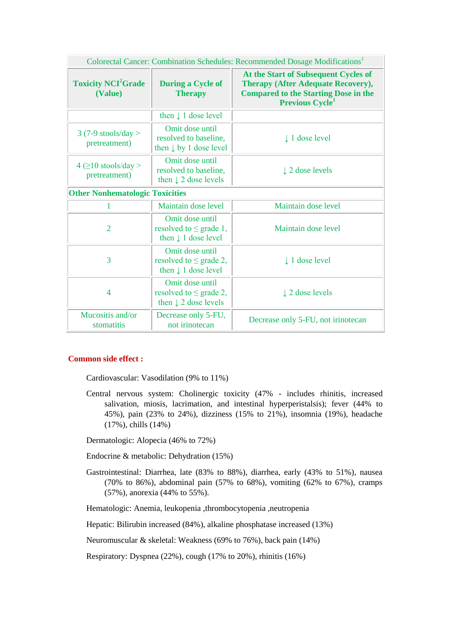| Colorectal Cancer: Combination Schedules: Recommended Dosage Modifications <sup>1</sup> |                                                                                   |                                                                                                                                                                        |  |  |
|-----------------------------------------------------------------------------------------|-----------------------------------------------------------------------------------|------------------------------------------------------------------------------------------------------------------------------------------------------------------------|--|--|
| <b>Toxicity NCI<sup>2</sup>Grade</b><br>(Value)                                         | <b>During a Cycle of</b><br><b>Therapy</b>                                        | At the Start of Subsequent Cycles of<br><b>Therapy (After Adequate Recovery),</b><br><b>Compared to the Starting Dose in the</b><br><b>Previous Cycle</b> <sup>1</sup> |  |  |
|                                                                                         | then $\downarrow$ 1 dose level                                                    |                                                                                                                                                                        |  |  |
| $3(7-9 \text{ stools/day} >$<br>pretreatment)                                           | Omit dose until<br>resolved to baseline,<br>then $\downarrow$ by 1 dose level     | $\downarrow$ 1 dose level                                                                                                                                              |  |  |
| $4 \geq 10$ stools/day ><br>pretreatment)                                               | Omit dose until<br>resolved to baseline,<br>then $\downarrow$ 2 dose levels       | $\downarrow$ 2 dose levels                                                                                                                                             |  |  |
| <b>Other Nonhematologic Toxicities</b>                                                  |                                                                                   |                                                                                                                                                                        |  |  |
| 1                                                                                       | Maintain dose level                                                               | Maintain dose level                                                                                                                                                    |  |  |
| $\overline{2}$                                                                          | Omit dose until<br>resolved to $\leq$ grade 1,<br>then $\downarrow$ 1 dose level  | Maintain dose level                                                                                                                                                    |  |  |
| 3                                                                                       | Omit dose until<br>resolved to $\leq$ grade 2,<br>then $\downarrow$ 1 dose level  | $\downarrow$ 1 dose level                                                                                                                                              |  |  |
| $\overline{4}$                                                                          | Omit dose until<br>resolved to $\leq$ grade 2,<br>then $\downarrow$ 2 dose levels | 12 dose levels                                                                                                                                                         |  |  |
| Mucositis and/or<br>stomatitis                                                          | Decrease only 5-FU,<br>not irinotecan                                             | Decrease only 5-FU, not irinotecan                                                                                                                                     |  |  |

### **Common side effect :**

Cardiovascular: Vasodilation (9% to 11%)

Central nervous system: Cholinergic toxicity (47% - includes rhinitis, increased salivation, miosis, lacrimation, and intestinal hyperperistalsis); fever (44% to 45%), pain (23% to 24%), dizziness (15% to 21%), insomnia (19%), headache (17%), chills (14%)

Dermatologic: Alopecia (46% to 72%)

Endocrine & metabolic: Dehydration (15%)

Gastrointestinal: Diarrhea, late (83% to 88%), diarrhea, early (43% to 51%), nausea (70% to 86%), abdominal pain (57% to 68%), vomiting (62% to 67%), cramps (57%), anorexia (44% to 55%).

Hematologic: Anemia, leukopenia ,thrombocytopenia ,neutropenia

Hepatic: Bilirubin increased (84%), alkaline phosphatase increased (13%)

Neuromuscular & skeletal: Weakness (69% to 76%), back pain (14%)

Respiratory: Dyspnea (22%), cough (17% to 20%), rhinitis (16%)